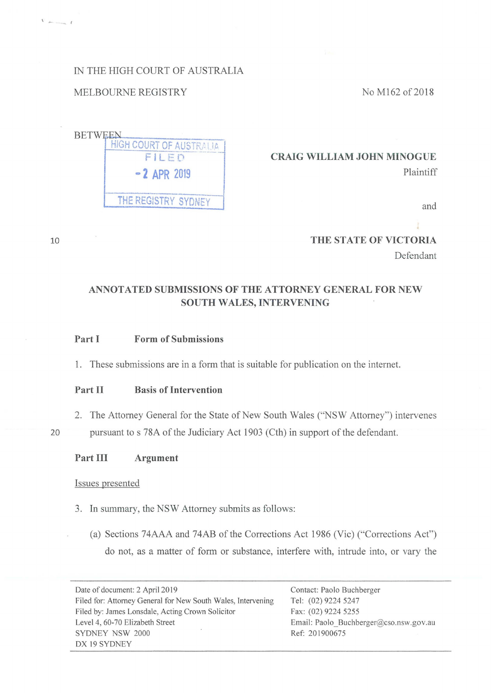IN THE HIGH COURT OF AUSTRALIA

# MELBOURNE REGISTRY

No Ml62 of 2018



**CRAIG WILLIAM JOHN MINOGUE**  Plaintiff

and

**THE STATE OF VICTORIA**  Defendant

# **ANNOTATED SUBMISSIONS OF THE ATTORNEY GENERAL FOR NEW SOUTH WALES, INTERVENING**

# **Part I Form of Submissions**

**1.** These submissions are in a form that is suitable for publication on the internet.

# **Part II Basis of Intervention**

2. The Attorney General for the State of New South Wales ("NSW Attorney") intervenes

20 pursuant to s 78A of the Judiciary Act 1903 (Cth) in support of the defendant.

10

- - *I* 

**Part III Argument** 

#### Issues presented

- 3. In summary, the NSW Attorney submits as follows:
	- (a) Sections 74AAA and 74AB of the Corrections Act 1986 (Vic) ("Corrections Act") do not, as a matter of form or substance, interfere with, intrude into, or vary the

Date of document: 2 April 2019 Filed for: Attorney General for New South Wales, Intervening Filed by: James Lonsdale, Acting Crown Solicitor Level 4, 60-70 Elizabeth Street SYDNEY NSW 2000 DX 19 SYDNEY

Contact: Paolo Buchberger Tel: (02) 9224 5247 Fax: (02) 9224 5255 Email: Paolo\_Buchberger@cso.nsw.gov.au Ref: 201900675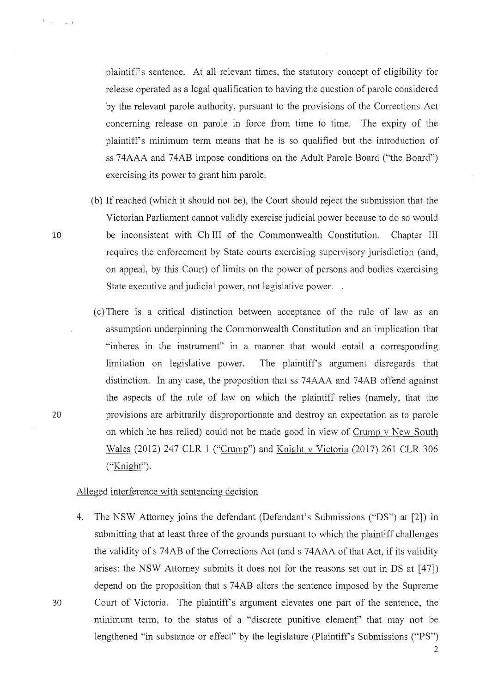plaintiffs sentence. At all relevant times, the statutory concept of eligibility for release operated as a legal qualification to having the question of parole considered by the relevant parole authority, pursuant to the provisions of the Conections Act concerning release on parole in force from time to time. The expiry of the plaintiffs minimum term means that he is so qualified but the introduction of ss 74AAA and 74AB impose conditions on the Adult Parole Board ("the Board") exercising its power to grant him parole.

- (b) If reached (which it should not be), the Court should reject the submission that the Victorian Parliament cannot validly exercise judicial power because to do so would be inconsistent with Ch III of the Commonwealth Constitution. Chapter III requires the enforcement by State courts exercising supervisory jurisdiction ( and, on appeal, by this Court) of limits on the power of persons and bodies exercising State executive and judicial power, not legislative power.
- ( c) There is a critical distinction between acceptance of the rule of law as an assumption underpinning the Commonwealth Constitution and an implication that "inheres in the instrument" in a manner that would entail a corresponding limitation on legislative power. The plaintiff's argument disregards that distinction. In any case, the proposition that ss 74AAA and 74AB offend against the aspects of the rule of law on which the plaintiff relies (namely, that the provisions are arbitrarily disproportionate and destroy an expectation as to parole on which he has relied) could not be made good in view of Crump v New South Wales (2012) 247 CLR 1 ("Crump") and Knight v Victoria (2017) 261 CLR 306 ("Knight").

### Alleged interference with sentencing decision

4. The NSW Attorney joins the defendant (Defendant's Submissions ("DS") at [2]) in submitting that at least three of the grounds pursuant to which the plaintiff challenges the validity of s 74AB of the Corrections Act (and s 74AAA of that Act, if its validity arises: the NSW Attorney submits it does not for the reasons set out in DS at [47]) depend on the proposition that s 74AB alters the sentence imposed by the Supreme 30 Court of Victoria. The plaintiffs argument elevates one part of the sentence, the minimum term, to the status of a "discrete punitive element" that may not be lengthened "in substance or effect" by the legislature (Plaintiff's Submissions ("PS")

10

 $\mathbf{t}=\mathbf{u}$ 

20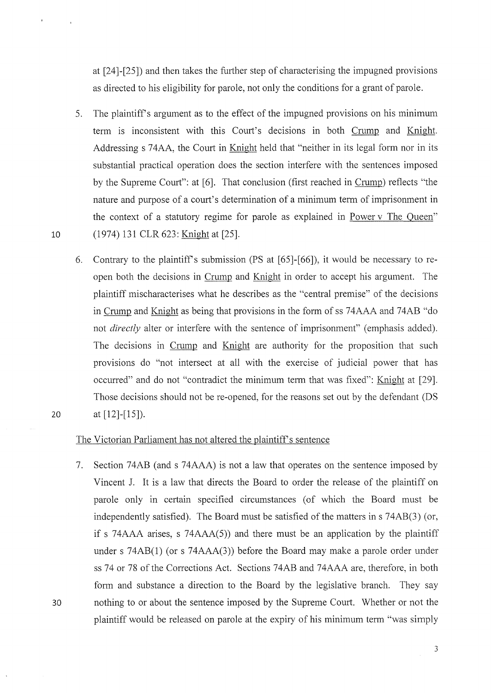at [24]-[25]) and then takes the further step of characterising the impugned provisions as directed to his eligibility for parole, not only the conditions for a grant of parole.

- 5. The plaintiffs argument as to the effect of the impugned provisions on his minimum term is inconsistent with this Court's decisions in both Crump and Knight. Addressing s 74AA, the Court in Knight held that "neither in its legal form nor in its substantial practical operation does the section interfere with the sentences imposed by the Supreme Court": at [6]. That conclusion (first reached in Crump) reflects "the nature and purpose of a court's determination of a minimum term of imprisonment in the context of a statutory regime for parole as explained in Power v The Queen" 10 (1974) 131 CLR 623: Knight at [25].
- 6. Contrary to the plaintiff's submission (PS at  $[65]$ - $[66]$ ), it would be necessary to reopen both the decisions in Crump and Knight in order to accept his argument. The plaintiff mischaracterises what he describes as the "central premise" of the decisions in Crump and Knight as being that provisions in the form of ss 74AAA and 74AB "do not *directly* alter or interfere with the sentence of imprisonment" (emphasis added). The decisions in Crump and Knight are authority for the proposition that such provisions do "not intersect at all with the exercise of judicial power that has occurred" and do not "contradict the minimum term that was fixed": Knight at [29]. Those decisions should not be re-opened, for the reasons set out by the defendant (DS 20 at  $[12]-[15]$ .

# The Victorian Parliament has not altered the plaintiff's sentence

7. Section 74AB (and s 74AAA) is not a law that operates on the sentence imposed by Vincent J. It is a law that directs the Board to order the release of the plaintiff on parole only in certain specified circumstances (of which the Board must be independently satisfied). The Board must be satisfied of the matters in s 74AB(3) (or, if s 74AAA arises, s 74AAA $(5)$ ) and there must be an application by the plaintiff under s  $74AB(1)$  (or s  $74AAA(3)$ ) before the Board may make a parole order under ss 74 or 78 of the Corrections Act. Sections 74AB and 74AAA are, therefore, in both form and substance a direction to the Board by the legislative branch. They say 30 nothing to or about the sentence imposed by the Supreme Court. Whether or not the plaintiff would be released on parole at the expiry of his minimum term "was simply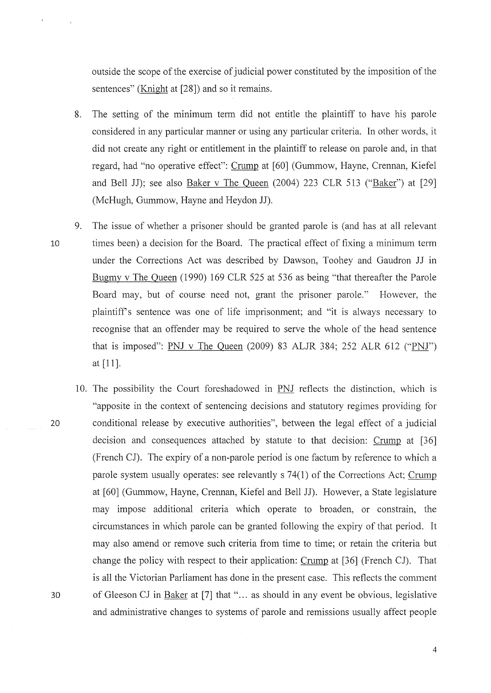outside the scope of the exercise of judicial power constituted by the imposition of the sentences" (Knight at [28]) and so it remains.

- 8. The setting of the minimum term did not entitle the plaintiff to have his parole considered in any particular manner or using any particular criteria. In other words, it did not create any right or entitlement in the plaintiff to release on parole and, in that regard, had "no operative effect": Crump at [60] (Gummow, Hayne, Crennan, Kiefel and Bell JJ); see also Baker v The Queen (2004) 223 CLR 513 ("Baker") at [29] (McHugh, Gummow, Hayne and Heydon JJ).
- 9. The issue of whether a prisoner should be granted parole is (and has at all relevant 10 times been) a decision for the Board. The practical effect of fixing a minimum term under the Corrections Act was described by Dawson, Toohey and Gaudron JJ in Bugmy v The Queen (1990) 169 CLR 525 at 536 as being "that thereafter the Parole Board may, but of course need not, grant the prisoner parole." However, the plaintiffs sentence was one of life imprisonment; and "it is always necessary to recognise that an offender may be required to serve the whole of the head sentence that is imposed": PNJ v The Queen (2009) 83 ALJR 384; 252 ALR 612 ("PNJ") at [11].
- 10. The possibility the Court foreshadowed in PNJ reflects the distinction, which is "apposite in the context of sentencing decisions and statutory regimes providing for 20 conditional release by executive authorities", between the legal effect of a judicial decision and consequences attached by statute· to that decision: Crump at [36] (French CJ). The expiry of a non-parole period is one factum by reference to which a parole system usually operates: see relevantly s 74(1) of the Corrections Act; Crump at [60] (Gummow, Hayne, Crennan, Kiefel and Bell JJ). However, a State legislature may impose additional criteria which operate to broaden, or constrain, the circumstances in which parole can be granted following the expiry of that period. It may also amend or remove such criteria from time to time; or retain the criteria but change the policy with respect to their application: Crump at [36] (French CJ). That is all the Victorian Parliament has done in the present case. This reflects the comment 30 of Gleeson CJ in Baker at [7] that "... as should in any event be obvious, legislative and administrative changes to systems of parole and remissions usually affect people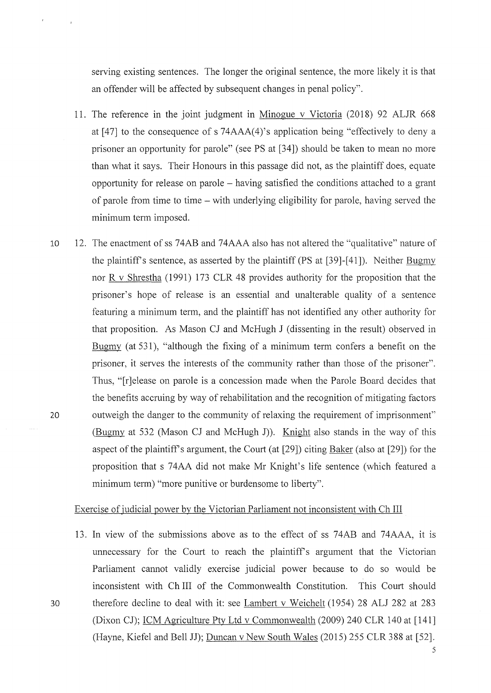serving existing sentences. The longer the original sentence, the more likely it is that an offender will be affected by subsequent changes in penal policy".

- 11. The reference in the joint judgment in Minogue v Victoria (2018) 92 ALJR 668 at [47] to the consequence of s 74AAA(4)'s application being "effectively to deny a prisoner an opportunity for parole" (see PS at [34]) should be taken to mean no more than what it says. Their Honours in this passage did not, as the plaintiff does, equate opportunity for release on parole – having satisfied the conditions attached to a grant of parole from time to time - with underlying eligibility for parole, having served the minimum term imposed.
- 10 12. The enactment of ss 74AB and 74AAA also has not altered the "qualitative" nature of the plaintiff's sentence, as asserted by the plaintiff ( $PS$  at  $[39]-[41]$ ). Neither Bugmy nor R v Shrestha (1991) 173 CLR 48 provides authority for the proposition that the prisoner's hope of release is an essential and unalterable quality of a sentence featuring a minimum term, and the plaintiff has not identified any other authority for that proposition. As Mason CJ and McHugh J (dissenting in the result) observed in Bugmy (at 531), "although the fixing of a minimum term confers a benefit on the prisoner, it serves the interests of the community rather than those of the prisoner". Thus, "[r]elease on parole is a concession made when the Parole Board decides that the benefits accruing by way of rehabilitation and the recognition of mitigating factors 20 outweigh the danger to the community of relaxing the requirement of imprisonment" (Bugmy at 532 (Mason CJ and McHugh J)). Knight also stands in the way of this aspect of the plaintiff's argument, the Court (at  $[29]$ ) citing Baker (also at  $[29]$ ) for the proposition that s 74AA did not make Mr Knight's life sentence (which featured a minimum term) "more punitive or burdensome to liberty".

### Exercise of judicial power by the Victorian Parliament not inconsistent with Ch III

13. In view of the submissions above as to the effect of ss 74AB and 74AAA, it is unnecessary for the Court to reach the plaintiff's argument that the Victorian Parliament cannot validly exercise judicial power because to do so would be inconsistent with Ch III of the Commonwealth Constitution. This Court should 30 therefore decline to deal with it: see Lambert v Weichelt (1954) 28 ALJ 282 at 283 (Dixon CJ); ICM Agriculture Pty Ltd v Commonwealth (2009) 240 CLR 140 at [141] (Hayne, Kiefel and Bell JJ); Duncan v New South Wales (2015) 255 CLR 388 at [52].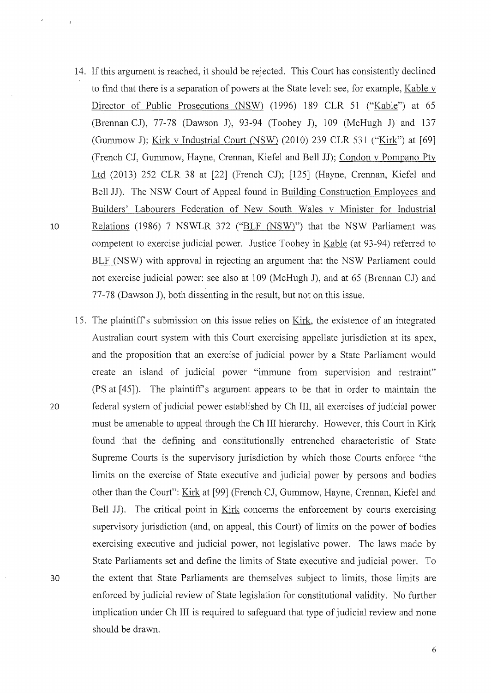- 14. If this argument is reached, it should be rejected. This Court has consistently declined to find that there is a separation of powers at the State level: see, for example, Kable v Director of Public Prosecutions (NSW) (1996) 189 CLR 51 ("Kable") at 65 (Brennan CJ), 77-78 (Dawson J), 93-94 (Toohey J), 109 (McHugh J) and 137 (Gummow J); Kirk v Industrial Court (NSW) (2010) 239 CLR 531 ("Kirk") at [69] (French CJ, Gummow, Hayne, Crennan, Kiefel and Bell JJ); Condon v Pompano Pty Ltd (2013) 252 CLR 38 at [22] (French CJ); [125] (Hayne, Crennan, Kiefel and Bell JJ). The NSW Court of Appeal found in Building Construction Employees and Builders' Labourers Federation of New South Wales v Minister for Industrial 10 Relations (1986) 7 NSWLR 372 ("BLF (NSW)") that the NSW Parliament was competent to exercise judicial power. Justice Toohey in Kable (at 93-94) referred to BLF (NSW) with approval in rejecting an argument that the NSW Parliament could not exercise judicial power: see also at 109 (McHugh J), and at 65 (Brennan CJ) and 77-78 (Dawson J), both dissenting in the result, but not on this issue.
- 15. The plaintiffs submission on this issue relies on Kirk, the existence of an integrated Australian court system with this Court exercising appellate jurisdiction at its apex, and the proposition that an exercise of judicial power by a State Parliament would create an island of judicial power "immune from supervision and restraint" (PS at [ 45]). The plaintiff's argument appears to be that in order to maintain the 20 federal system of judicial power established by Ch III, all exercises of judicial power must be amenable to appeal through the Ch III hierarchy. However, this Court in Kirk found that the defining and constitutionally entrenched characteristic of State Supreme Courts is the supervisory jurisdiction by which those Courts enforce "the limits on the exercise of State executive and judicial power by persons and bodies other than the Court": Kirk at [99] (French CJ, Gummow, Hayne, Crennan, Kiefel and Bell JJ). The critical point in Kirk concerns the enforcement by courts exercising supervisory jurisdiction (and, on appeal, this Court) of limits on the power of bodies exercising executive and judicial power, not legislative power. The laws made by State Parliaments set and define the limits of State executive and judicial power. To 30 the extent that State Parliaments are themselves subject to limits, those limits are enforced by judicial review of State legislation for constitutional validity. No further implication under Ch III is required to safeguard that type of judicial review and none should be drawn.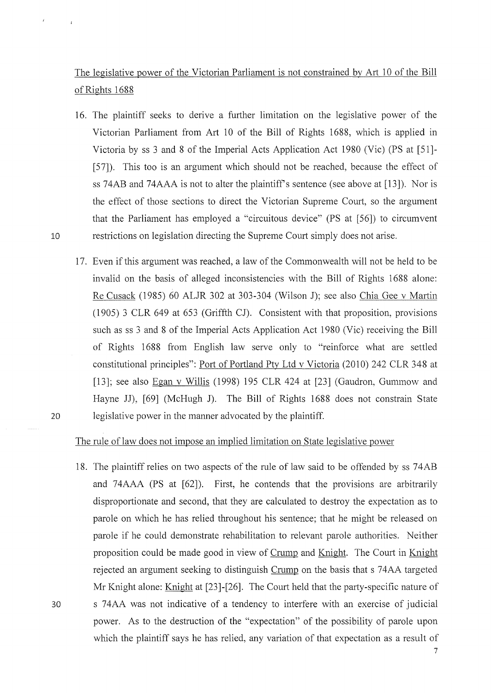The legislative power of the Victorian Parliament is not constrained by Art 10 of the Bill of Rights 1688

- 16. The plaintiff seeks to derive a further limitation on the legislative power of the Victorian Parliament from Art 10 of the Bill of Rights 1688, which is applied in Victoria by ss 3 and 8 of the Imperial Acts Application Act 1980 (Vic) (PS at [51]-[ 57]). This too is an argument which should not be reached, because the effect of ss 74AB and 74AAA is not to alter the plaintiff's sentence (see above at [13]). Nor is the effect of those sections to direct the Victorian Supreme Court, so the argument that the Parliament has employed a "circuitous device" (PS at [56]) to circumvent 10 restrictions on legislation directing the Supreme Court simply does not arise.
- 17. Even if this argument was reached, a law of the Commonwealth will not be held to be invalid on the basis of alleged inconsistencies with the Bill of Rights 1688 alone: Re Cusack (1985) 60 ALJR 302 at 303-304 (Wilson J); see also Chia Gee v Martin (1905) 3 CLR 649 at 653 (Griffth CJ). Consistent with that proposition, provisions such as ss 3 and 8 of the Imperial Acts Application Act 1980 (Vic) receiving the Bill of Rights 1688 from English law serve only to "reinforce what are settled constitutional principles": Port of Portland Pty Ltd v Victoria (2010) 242 CLR 348 at [13]; see also Egan v Willis (1998) 195 CLR 424 at [23] (Gaudron, Gummow and Hayne JJ), [69] (McHugh J). The Bill of Rights 1688 does not constrain State 20 legislative power in the manner advocated by the plaintiff.

# The rule of law does not impose an implied limitation on State legislative power

18. The plaintiff relies on two aspects of the rule of law said to be offended by ss 74AB and 74AAA (PS at [62]). First, he contends that the provisions are arbitrarily disproportionate and second, that they are calculated to destroy the expectation as to parole on which he has relied throughout his sentence; that he might be released on parole if he could demonstrate rehabilitation to relevant parole authorities. Neither proposition could be made good in view of Crump and Knight. The Court in Knight rejected an argument seeking to distinguish Crump on the basis that s 74AA targeted Mr Knight alone: Knight at  $[23]$ - $[26]$ . The Court held that the party-specific nature of 30 s 74AA was not indicative of a tendency to interfere with an exercise of judicial power. As to the destruction of the "expectation" of the possibility of parole upon which the plaintiff says he has relied, any variation of that expectation as a result of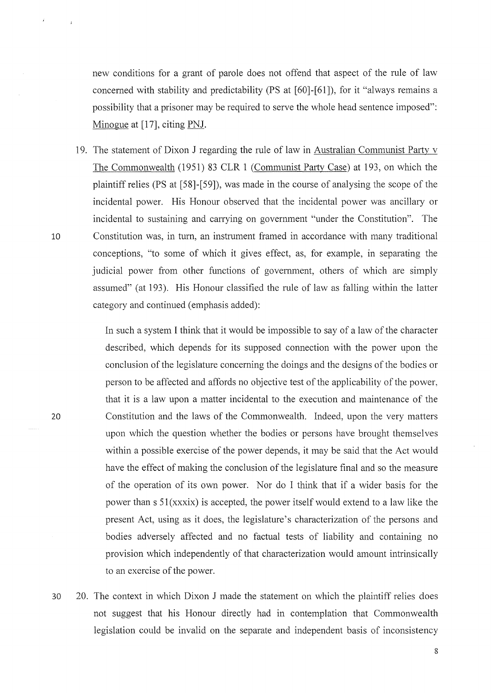new conditions for a grant of parole does not offend that aspect of the rule of law concerned with stability and predictability (PS at [60]-[61]), for it "always remains a possibility that a prisoner may be required to serve the whole head sentence imposed": Minogue at [17], citing PNJ.

19. The statement of Dixon J regarding the rule of law in Australian Communist Party v The Commonwealth (1951) 83 CLR 1 (Communist Party Case) at 193, on which the plaintiff relies (PS at [58]-[59]), was made in the course of analysing the scope of the incidental power. His Honour observed that the incidental power was ancillary or incidental to sustaining and carrying on government "under the Constitution". The 10 Constitution was, in turn, an instrument framed in accordance with many traditional conceptions, "to some of which it gives effect, as, for example, in separating the judicial power from other functions of government, others of which are simply assumed" (at 193). His Honour classified the rule of law as falling within the latter category and continued (emphasis added):

> In such a system I think that it would be impossible to say of a law of the character described, which depends for its supposed connection with the power upon the conclusion of the legislature concerning the doings and the designs of the bodies or person to be affected and affords no objective test of the applicability of the power, that it is a law upon a matter incidental to the execution and maintenance of the Constitution and the laws of the Commonwealth. Indeed, upon the very matters upon which the question whether the bodies or persons have brought themselves within a possible exercise of the power depends, it may be said that the Act would have the effect of making the conclusion of the legislature final and so the measure of the operation of its own power. Nor do I think that if a wider basis for the power than  $s \, 51(xxxix)$  is accepted, the power itself would extend to a law like the present Act, using as it does, the legislature's characterization of the persons and bodies adversely affected and no factual tests of liability and containing no provision which independently of that characterization would amount intrinsically to an exercise of the power.

30 20. The context in which Dixon J made the statement on which the plaintiff relies does not suggest that his Honour directly had in contemplation that Commonwealth legislation could be invalid on the separate and independent basis of inconsistency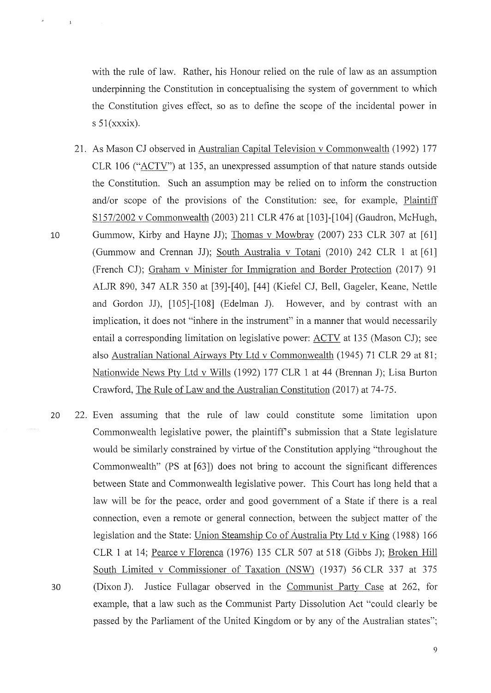with the rule of law. Rather, his Honour relied on the rule of law as an assumption underpinning the Constitution in conceptualising the system of government to which the Constitution gives effect, so as to define the scope of the incidental power in s  $51(xxxix)$ .

- 21. As Mason CJ observed in Australian Capital Television v Commonwealth (1992) 177 CLR 106 ("ACTV") at 135, an unexpressed assumption of that nature stands outside the Constitution. Such an assumption may be relied on to inform the construction and/or scope of the provisions of the Constitution: see, for example, Plaintiff S 157/2002 v Commonwealth (2003) 211 CLR 476 at [103]-[104] (Gaudron, McHugh, 10 Gummow, Kirby and Hayne JJ); Thomas v Mowbray (2007) 233 CLR 307 at [61] (Gummow and Crennan JJ); South Australia v Totani (2010) 242 CLR 1 at [61] (French CJ); Graham v Minister for Immigration and Border Protection (2017) 91 ALJR 890, 347 ALR 350 at [39]-[40], [44] (Kiefel CJ, Bell, Gageler, Keane, Nettle and Gordon JJ), [105]-[108] (Edelman J). However, and by contrast with an implication, it does not "inhere in the instrument" in a manner that would necessarily entail a corresponding limitation on legislative power: ACTV at 135 (Mason CJ); see also Australian National Airways Pty Ltd v Commonwealth (1945) 71 CLR 29 at 81; Nationwide News Pty Ltd v Wills (1992) 177 CLR 1 at 44 (Brennan J); Lisa Burton Crawford, The Rule of Law and the Australian Constitution (2017) at 74-75.
- 20 22. Even assuming that the rule of law could constitute some limitation upon 30 Commonwealth legislative power, the plaintiff's submission that a State legislature would be similarly constrained by virtue of the Constitution applying "throughout the Commonwealth" (PS at [63]) does not bring to account the significant differences between State and Commonwealth legislative power. This Court has long held that a law will be for the peace, order and good govermnent of a State if there is a real connection, even a remote or general connection, between the subject matter of the legislation and the State: Union Steamship Co of Australia Pty Ltd v King (1988) 166 CLR 1 at 14; Pearce v Florenca (1976) 135 CLR 507 at 518 (Gibbs J); Broken Hill South Limited v Commissioner of Taxation (NSW) (1937) 56 CLR 337 at 375 (Dixon J). Justice Fullagar observed in the Communist Party Case at 262, for example, that a law such as the Communist Party Dissolution Act "could clearly be passed by the Parliament of the United Kingdom or by any of the Australian states";